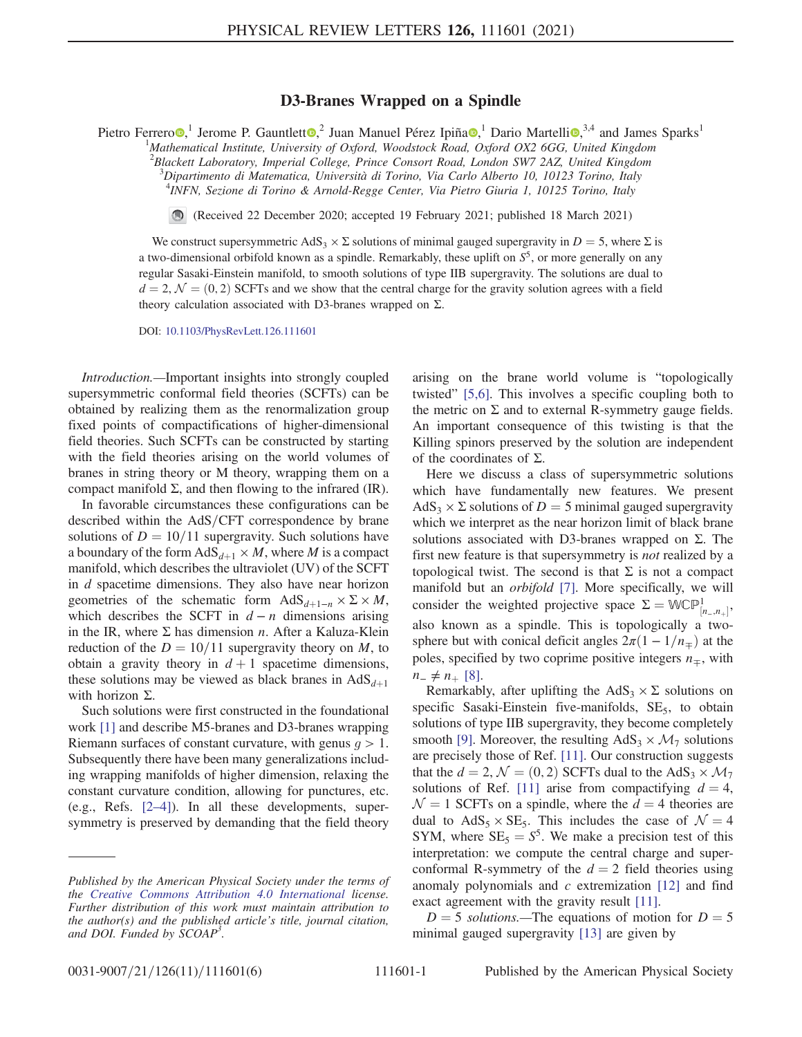## D3-Branes Wrapped on a Spindle

Pietro Ferrero<sup>0</sup>,<sup>1</sup> Jerome P. Gauntlett<sup>o</sup>,<sup>2</sup> Juan Manuel Pérez Ipiña<sup>o</sup>,<sup>1</sup> Dario Martelli<sup>o</sup>,<sup>3,4</sup> and James Sparks<sup>1</sup>

<sup>1</sup>Mathematical Institute, University of Oxford, Woodstock Road, Oxford OX2 6GG, United Kingdom

 $^{2}$ Blackett Laboratory, Imperial College, Prince Consort Road, London SW7 2AZ, United Kingdom

<sup>3</sup>Dipartimento di Matematica, Università di Torino, Via Carlo Alberto 10, 10123 Torino, Italy  $^{4}$ IMEN, Serione di Torino, Lalungha Regge Conten. Via Bistre Ciuria 1, 10125 Torino, Italy INFN, Sezione di Torino & Arnold-Regge Center, Via Pietro Giuria 1, 10125 Torino, Italy

(Received 22 December 2020; accepted 19 February 2021; published 18 March 2021)

We construct supersymmetric AdS<sub>3</sub>  $\times$  Σ solutions of minimal gauged supergravity in D = 5, where Σ is a two-dimensional orbifold known as a spindle. Remarkably, these uplift on  $S^5$ , or more generally on any regular Sasaki-Einstein manifold, to smooth solutions of type IIB supergravity. The solutions are dual to  $d = 2, \mathcal{N} = (0, 2)$  SCFTs and we show that the central charge for the gravity solution agrees with a field theory calculation associated with D3-branes wrapped on Σ.

DOI: [10.1103/PhysRevLett.126.111601](https://doi.org/10.1103/PhysRevLett.126.111601)

Introduction.—Important insights into strongly coupled supersymmetric conformal field theories (SCFTs) can be obtained by realizing them as the renormalization group fixed points of compactifications of higher-dimensional field theories. Such SCFTs can be constructed by starting with the field theories arising on the world volumes of branes in string theory or M theory, wrapping them on a compact manifold Σ, and then flowing to the infrared (IR).

In favorable circumstances these configurations can be described within the AdS/CFT correspondence by brane solutions of  $D = 10/11$  supergravity. Such solutions have a boundary of the form  $AdS_{d+1} \times M$ , where M is a compact manifold, which describes the ultraviolet (UV) of the SCFT in d spacetime dimensions. They also have near horizon geometries of the schematic form  $AdS_{d+1-n} \times \Sigma \times M$ , which describes the SCFT in  $d - n$  dimensions arising in the IR, where  $\Sigma$  has dimension *n*. After a Kaluza-Klein reduction of the  $D = 10/11$  supergravity theory on M, to obtain a gravity theory in  $d + 1$  spacetime dimensions, these solutions may be viewed as black branes in  $AdS<sub>d+1</sub>$ with horizon  $\Sigma$ .

Such solutions were first constructed in the foundational work [\[1\]](#page-4-0) and describe M5-branes and D3-branes wrapping Riemann surfaces of constant curvature, with genus  $q > 1$ . Subsequently there have been many generalizations including wrapping manifolds of higher dimension, relaxing the constant curvature condition, allowing for punctures, etc. (e.g., Refs. [2–[4\]\)](#page-4-1). In all these developments, supersymmetry is preserved by demanding that the field theory arising on the brane world volume is "topologically twisted" [\[5,6\].](#page-4-2) This involves a specific coupling both to the metric on  $\Sigma$  and to external R-symmetry gauge fields. An important consequence of this twisting is that the Killing spinors preserved by the solution are independent of the coordinates of  $\Sigma$ .

Here we discuss a class of supersymmetric solutions which have fundamentally new features. We present  $AdS_3 \times \Sigma$  solutions of  $D = 5$  minimal gauged supergravity which we interpret as the near horizon limit of black brane solutions associated with D3-branes wrapped on  $\Sigma$ . The first new feature is that supersymmetry is *not* realized by a topological twist. The second is that  $\Sigma$  is not a compact manifold but an *orbifold* [\[7\]](#page-4-3). More specifically, we will consider the weighted projective space  $\Sigma = W\mathbb{CP}^1_{[n_-,n_+]},$ also known as a spindle. This is topologically a twosphere but with conical deficit angles  $2\pi(1-1/n_{\pm})$  at the poles, specified by two coprime positive integers  $n_{\pm}$ , with  $n_{-} \neq n_{+}$  [\[8\].](#page-4-4)

Remarkably, after uplifting the  $AdS_3 \times \Sigma$  solutions on specific Sasaki-Einstein five-manifolds,  $SE<sub>5</sub>$ , to obtain solutions of type IIB supergravity, they become completely smooth [\[9\].](#page-4-5) Moreover, the resulting  $AdS_3 \times \mathcal{M}_7$  solutions are precisely those of Ref. [\[11\].](#page-4-6) Our construction suggests that the  $d = 2$ ,  $\mathcal{N} = (0, 2)$  SCFTs dual to the AdS<sub>3</sub>  $\times$   $\mathcal{M}_7$ solutions of Ref. [\[11\]](#page-4-6) arise from compactifying  $d = 4$ ,  $\mathcal{N} = 1$  SCFTs on a spindle, where the  $d = 4$  theories are dual to  $AdS_5 \times SE_5$ . This includes the case of  $\mathcal{N} = 4$ SYM, where  $SE_5 = S^5$ . We make a precision test of this interpretation: we compute the central charge and superconformal R-symmetry of the  $d = 2$  field theories using anomaly polynomials and  $c$  extremization  $[12]$  and find exact agreement with the gravity result [\[11\]](#page-4-6).

<span id="page-0-0"></span> $D = 5$  solutions.—The equations of motion for  $D = 5$ minimal gauged supergravity [\[13\]](#page-4-8) are given by

Published by the American Physical Society under the terms of the [Creative Commons Attribution 4.0 International](https://creativecommons.org/licenses/by/4.0/) license. Further distribution of this work must maintain attribution to the author(s) and the published article's title, journal citation, and DOI. Funded by SCOAP<sup>3</sup>.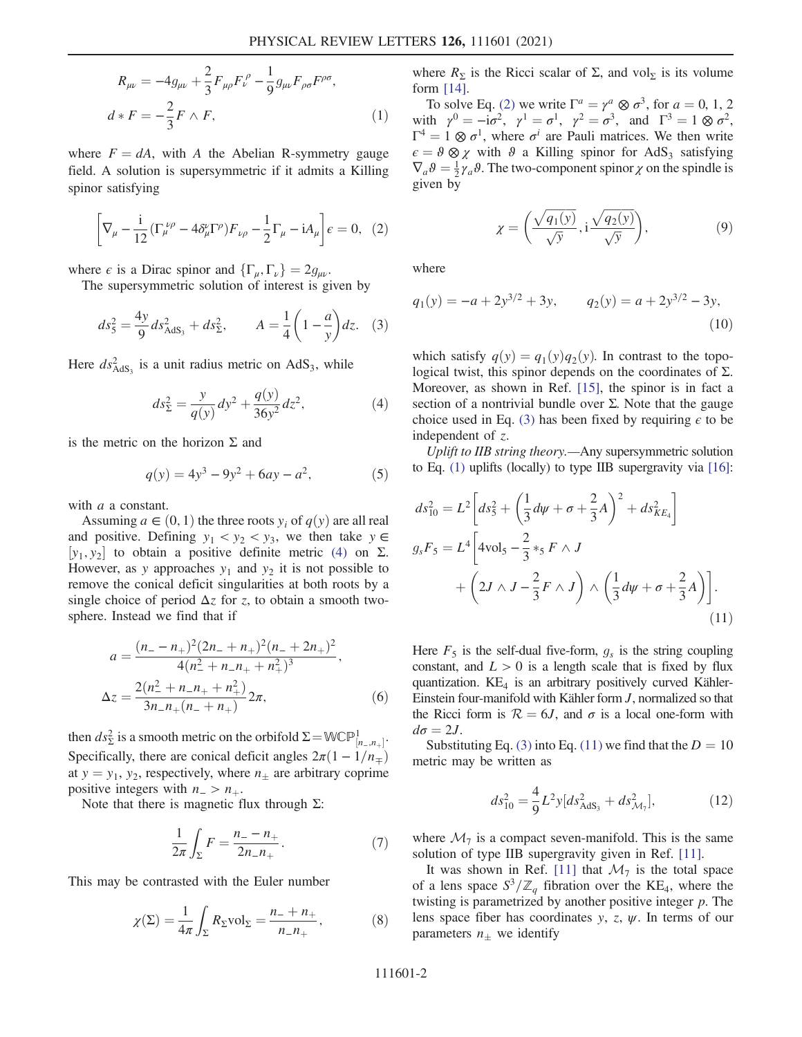$$
R_{\mu\nu} = -4g_{\mu\nu} + \frac{2}{3}F_{\mu\rho}F^{\rho}_{\nu} - \frac{1}{9}g_{\mu\nu}F_{\rho\sigma}F^{\rho\sigma},
$$
  

$$
d * F = -\frac{2}{3}F \wedge F,
$$
 (1)

<span id="page-1-1"></span>where  $F = dA$ , with A the Abelian R-symmetry gauge field. A solution is supersymmetric if it admits a Killing spinor satisfying

$$
\left[\nabla_{\mu} - \frac{i}{12} \left(\Gamma_{\mu}^{\ \nu\rho} - 4\delta_{\mu}^{\nu}\Gamma^{\rho}\right)F_{\nu\rho} - \frac{1}{2}\Gamma_{\mu} - iA_{\mu}\right]\epsilon = 0, \tag{2}
$$

<span id="page-1-2"></span>where  $\epsilon$  is a Dirac spinor and  $\{\Gamma_{\mu}, \Gamma_{\nu}\} = 2g_{\mu\nu}$ .

The supersymmetric solution of interest is given by

$$
ds_5^2 = \frac{4y}{9} ds_{\text{AdS}_3}^2 + ds_2^2, \qquad A = \frac{1}{4} \left( 1 - \frac{a}{y} \right) dz. \tag{3}
$$

<span id="page-1-0"></span>Here  $ds<sub>AdS<sub>3</sub></sub>$  is a unit radius metric on AdS<sub>3</sub>, while

$$
ds_{\Sigma}^{2} = \frac{y}{q(y)}dy^{2} + \frac{q(y)}{36y^{2}}dz^{2},
$$
 (4)

is the metric on the horizon  $\Sigma$  and

$$
q(y) = 4y^3 - 9y^2 + 6ay - a^2,
$$
 (5)

with *a* a constant.

Assuming  $a \in (0, 1)$  the three roots  $y_i$  of  $q(y)$  are all real and positive. Defining  $y_1 < y_2 < y_3$ , we then take  $y \in$  $[y_1, y_2]$  to obtain a positive definite metric [\(4\)](#page-1-0) on  $\Sigma$ .<br>However as y approaches y<sub>1</sub> and y<sub>2</sub> it is not possible to However, as y approaches  $y_1$  and  $y_2$  it is not possible to remove the conical deficit singularities at both roots by a single choice of period  $\Delta z$  for z, to obtain a smooth twosphere. Instead we find that if

$$
a = \frac{(n_{-} - n_{+})^{2} (2n_{-} + n_{+})^{2} (n_{-} + 2n_{+})^{2}}{4(n_{-}^{2} + n_{-}n_{+} + n_{+}^{2})^{3}},
$$
  

$$
\Delta z = \frac{2(n_{-}^{2} + n_{-}n_{+} + n_{+}^{2})}{3n_{-}n_{+}(n_{-} + n_{+})} 2\pi,
$$
 (6)

then  $ds_2^2$  is a smooth metric on the orbifold  $\Sigma = W\mathbb{CP}^1_{[n_-,n_+]}$ .<br>Specifically, there are conjected deficit angles  $2\pi(1, 1/n)$ . Specifically, there are conical deficit angles  $2\pi(1-1/n_{\mp})$ at  $y = y_1, y_2$ , respectively, where  $n_{\pm}$  are arbitrary coprime positive integers with  $n_$  >  $n_+$ .

<span id="page-1-5"></span>Note that there is magnetic flux through  $Σ$ :

$$
\frac{1}{2\pi} \int_{\Sigma} F = \frac{n_{-} - n_{+}}{2n_{-}n_{+}}.
$$
 (7)

<span id="page-1-6"></span>This may be contrasted with the Euler number

$$
\chi(\Sigma) = \frac{1}{4\pi} \int_{\Sigma} R_{\Sigma} \text{vol}_{\Sigma} = \frac{n_{-} + n_{+}}{n_{-}n_{+}},
$$
 (8)

where  $R_{\Sigma}$  is the Ricci scalar of  $\Sigma$ , and vol<sub>Σ</sub> is its volume form [\[14\]](#page-4-9).

To solve Eq. [\(2\)](#page-1-1) we write  $\Gamma^a = \gamma^a \otimes \sigma^3$ , for  $a = 0, 1, 2$ with  $\gamma^0 = -i\sigma^2$ ,  $\gamma^1 = \sigma^1$ ,  $\gamma^2 = \sigma^3$ , and  $\Gamma^3 = 1 \otimes \sigma^2$ ,  $\Gamma^4 = 1 \otimes \sigma^1$ , where  $\sigma^i$  are Pauli matrices. We then write  $\epsilon = \vartheta \otimes \chi$  with  $\vartheta$  a Killing spinor for AdS<sub>3</sub> satisfying  $\nabla_a \theta = \frac{1}{2} \gamma_a \theta$ . The two-component spinor  $\chi$  on the spindle is given by given by

$$
\chi = \left(\frac{\sqrt{q_1(y)}}{\sqrt{y}}, \mathbf{i}\frac{\sqrt{q_2(y)}}{\sqrt{y}}\right),\tag{9}
$$

where

$$
q_1(y) = -a + 2y^{3/2} + 3y, \t q_2(y) = a + 2y^{3/2} - 3y,
$$
\n(10)

which satisfy  $q(y) = q_1(y)q_2(y)$ . In contrast to the topological twist, this spinor depends on the coordinates of Σ. Moreover, as shown in Ref. [\[15\]](#page-4-10), the spinor is in fact a section of a nontrivial bundle over  $\Sigma$ . Note that the gauge choice used in Eq. [\(3\)](#page-1-2) has been fixed by requiring  $\epsilon$  to be independent of z.

<span id="page-1-3"></span>Uplift to IIB string theory.—Any supersymmetric solution to Eq. [\(1\)](#page-0-0) uplifts (locally) to type IIB supergravity via [\[16\]](#page-4-11):

$$
ds_{10}^{2} = L^{2} \left[ ds_{5}^{2} + \left( \frac{1}{3} d\psi + \sigma + \frac{2}{3} A \right)^{2} + ds_{KE_{4}}^{2} \right]
$$
  
\n
$$
g_{s} F_{5} = L^{4} \left[ 4 \text{vol}_{5} - \frac{2}{3} \kappa_{5} F \wedge J + \left( 2J \wedge J - \frac{2}{3} F \wedge J \right) \wedge \left( \frac{1}{3} d\psi + \sigma + \frac{2}{3} A \right) \right].
$$
  
\n(11)

Here  $F_5$  is the self-dual five-form,  $g_s$  is the string coupling constant, and  $L > 0$  is a length scale that is fixed by flux quantization.  $KE<sub>4</sub>$  is an arbitrary positively curved Kähler-Einstein four-manifold with Kähler form J, normalized so that the Ricci form is  $\mathcal{R} = 6J$ , and  $\sigma$  is a local one-form with  $d\sigma = 2J$ .

Substituting Eq. [\(3\)](#page-1-2) into Eq. [\(11\)](#page-1-3) we find that the  $D = 10$ metric may be written as

$$
ds_{10}^2 = \frac{4}{9}L^2 y [ds_{\text{AdS}_3}^2 + ds_{\mathcal{M}_7}^2],\tag{12}
$$

where  $\mathcal{M}_7$  is a compact seven-manifold. This is the same solution of type IIB supergravity given in Ref. [\[11\].](#page-4-6)

<span id="page-1-4"></span>It was shown in Ref. [\[11\]](#page-4-6) that  $\mathcal{M}_7$  is the total space of a lens space  $S^3/\mathbb{Z}_q$  fibration over the KE<sub>4</sub>, where the twisting is parametrized by another positive integer  $p$ . The lens space fiber has coordinates y, z,  $\psi$ . In terms of our parameters  $n_{\pm}$  we identify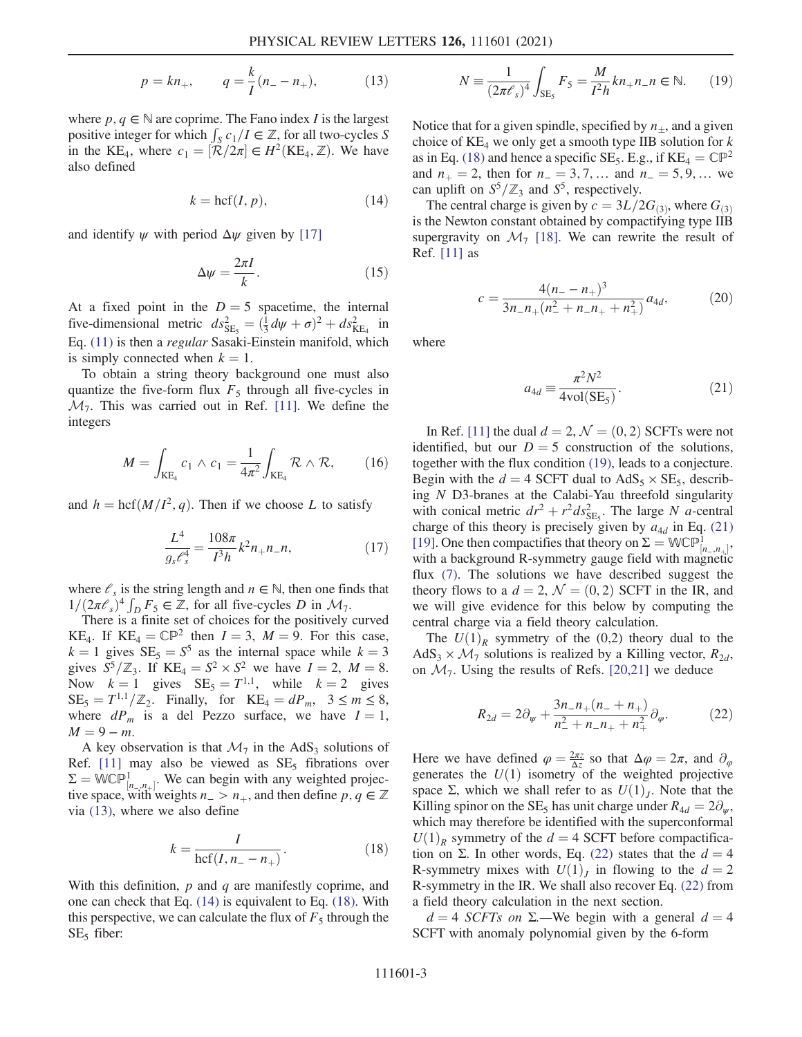$$
p = kn_+, \qquad q = \frac{k}{I}(n_- - n_+), \tag{13}
$$

<span id="page-2-0"></span>where  $p, q \in \mathbb{N}$  are coprime. The Fano index I is the largest positive integer for which  $\int_{S} c_1/I \in \mathbb{Z}$ , for all two-cycles S in the KE<sub>4</sub>, where  $c_1 = [\mathcal{R}/2\pi] \in H^2(\text{KE}_4, \mathbb{Z})$ . We have also defined

$$
k = \operatorname{hcf}(I, p),\tag{14}
$$

<span id="page-2-6"></span>and identify  $\psi$  with period  $\Delta \psi$  given by [\[17\]](#page-4-12)

$$
\Delta \psi = \frac{2\pi I}{k}.\tag{15}
$$

At a fixed point in the  $D = 5$  spacetime, the internal five-dimensional metric  $ds_{\text{SE}_5}^2 = (\frac{1}{3}d\psi + \sigma)^2 + ds_{\text{KE}_4}^2$  in<br>Eq. (11) is then a negative Sessati Finatein menifold which Eq. [\(11\)](#page-1-3) is then a regular Sasaki-Einstein manifold, which is simply connected when  $k = 1$ .

To obtain a string theory background one must also quantize the five-form flux  $F_5$  through all five-cycles in  $\mathcal{M}_7$ . This was carried out in Ref. [\[11\].](#page-4-6) We define the integers

$$
M = \int_{\text{KE}_4} c_1 \wedge c_1 = \frac{1}{4\pi^2} \int_{\text{KE}_4} \mathcal{R} \wedge \mathcal{R}, \qquad (16)
$$

and  $h = \text{hcf}(M/I^2, q)$ . Then if we choose L to satisfy

$$
\frac{L^4}{g_s \mathcal{E}_s^4} = \frac{108\pi}{I^3 h} k^2 n_+ n_- n,\tag{17}
$$

where  $\ell_s$  is the string length and  $n \in \mathbb{N}$ , then one finds that  $1/(2\pi\ell_s)^4 \int_D F_5 \in \mathbb{Z}$ , for all five-cycles D in  $\mathcal{M}_7$ .<br>There is a finite set of choices for the positively

There is a finite set of choices for the positively curved KE<sub>4</sub>. If KE<sub>4</sub> =  $\mathbb{CP}^2$  then  $I = 3$ ,  $M = 9$ . For this case,  $k = 1$  gives  $SE_5 = S^5$  as the internal space while  $k = 3$ gives  $S^5/\mathbb{Z}_3$ . If  $KE_4 = S^2 \times S^2$  we have  $I = 2$ ,  $M = 8$ . Now  $k = 1$  gives  $SE_5 = T^{1,1}$ , while  $k = 2$  gives  $SE_5 = T^{1,1}/\mathbb{Z}_2$ . Finally, for  $KE_4 = dP_m$ ,  $3 \le m \le 8$ , where  $dP_m$  is a del Pezzo surface, we have  $I = 1$ ,  $M = 9 - m$ .

<span id="page-2-1"></span>A key observation is that  $\mathcal{M}_7$  in the AdS<sub>3</sub> solutions of Ref. [\[11\]](#page-4-6) may also be viewed as  $SE<sub>5</sub>$  fibrations over  $\Sigma = \mathbb{WCP}^1_{[n_-, n_+]}$ . We can begin with any weighted projective space with weights  $n \ge n$ , and then define  $n \in \mathbb{Z}$  $\mathbb{Z} =$  we  $\bigcup_{[n_-,n_+]}$ . We can begin with any weighted projective space, with weights  $n_+ > n_+$ , and then define p,  $q \in \mathbb{Z}$ via [\(13\),](#page-1-4) where we also define

$$
k = \frac{I}{\text{hcf}(I, n_{-} - n_{+})}.
$$
 (18)

<span id="page-2-2"></span>With this definition,  $p$  and  $q$  are manifestly coprime, and one can check that Eq. [\(14\)](#page-2-0) is equivalent to Eq. [\(18\)](#page-2-1). With this perspective, we can calculate the flux of  $F_5$  through the  $SE<sub>5</sub>$  fiber:

$$
N = \frac{1}{(2\pi\ell_s)^4} \int_{\text{SE}_5} F_5 = \frac{M}{I^2 h} k n_+ n_- n \in \mathbb{N}.
$$
 (19)

Notice that for a given spindle, specified by  $n_{+}$ , and a given choice of  $KE_4$  we only get a smooth type IIB solution for k as in Eq. [\(18\)](#page-2-1) and hence a specific SE<sub>5</sub>. E.g., if  $KE_4 = \mathbb{CP}^2$ and  $n_+ = 2$ , then for  $n_+ = 3, 7, \dots$  and  $n_- = 5, 9, \dots$  we can uplift on  $S^5/\mathbb{Z}_3$  and  $S^5$ , respectively.

<span id="page-2-5"></span>The central charge is given by  $c = 3L/2G_{(3)}$ , where  $G_{(3)}$ is the Newton constant obtained by compactifying type IIB supergravity on  $\mathcal{M}_7$  [\[18\]](#page-4-13). We can rewrite the result of Ref. [\[11\]](#page-4-6) as

$$
c = \frac{4(n_{-} - n_{+})^3}{3n_{-}n_{+}(n_{-}^2 + n_{-}n_{+} + n_{+}^2)} a_{4d},
$$
 (20)

<span id="page-2-3"></span>where

$$
a_{4d} \equiv \frac{\pi^2 N^2}{4 \text{vol}(SE_5)}.
$$
 (21)

In Ref. [\[11\]](#page-4-6) the dual  $d = 2, \mathcal{N} = (0, 2)$  SCFTs were not identified, but our  $D = 5$  construction of the solutions, together with the flux condition [\(19\),](#page-2-2) leads to a conjecture. Begin with the  $d = 4$  SCFT dual to AdS<sub>5</sub> × SE<sub>5</sub>, describing N D3-branes at the Calabi-Yau threefold singularity with conical metric  $dr^2 + r^2 ds_{\text{SE}_5}^2$ . The large N a-central<br>charge of this theory is precisely given by  $g_{\text{tot}}$  in Eq. (21) charge of this theory is precisely given by  $a_{4d}$  in Eq. [\(21\)](#page-2-3) [\[19\]](#page-5-0). One then compactifies that theory on  $\Sigma = W\mathbb{CP}^1_{[n_-,n_+]}$ , with a background R-symmetry gauge field with magnetic with a background R-symmetry gauge field with magnetic with a background R-symmetry gauge field with magnetic flux [\(7\)](#page-1-5). The solutions we have described suggest the theory flows to a  $d = 2$ ,  $\mathcal{N} = (0, 2)$  SCFT in the IR, and we will give evidence for this below by computing the central charge via a field theory calculation.

<span id="page-2-4"></span>The  $U(1)_R$  symmetry of the (0,2) theory dual to the  $AdS_3 \times \mathcal{M}_7$  solutions is realized by a Killing vector,  $R_{2d}$ , on  $\mathcal{M}_7$ . Using the results of Refs. [\[20,21\]](#page-5-1) we deduce

$$
R_{2d} = 2\partial_{\psi} + \frac{3n_{-}n_{+}(n_{-}+n_{+})}{n_{-}^{2}+n_{-}n_{+}+n_{+}^{2}}\partial_{\varphi}.
$$
 (22)

Here we have defined  $\varphi = \frac{2\pi z}{\Delta z}$  so that  $\Delta \varphi = 2\pi$ , and  $\partial_{\varphi}$  senerates the  $U(1)$  isometry of the weighted projective generates the  $U(1)$  isometry of the weighted projective space Σ, which we shall refer to as  $U(1)<sub>J</sub>$ . Note that the Killing spinor on the SE<sub>5</sub> has unit charge under  $R_{4d} = 2\partial_{\mu}$ , which may therefore be identified with the superconformal  $U(1)<sub>R</sub>$  symmetry of the  $d = 4$  SCFT before compactifica-tion on Σ. In other words, Eq. [\(22\)](#page-2-4) states that the  $d = 4$ R-symmetry mixes with  $U(1)<sub>I</sub>$  in flowing to the  $d = 2$ R-symmetry in the IR. We shall also recover Eq. [\(22\)](#page-2-4) from a field theory calculation in the next section.

 $d = 4$  SCFTs on  $\Sigma$ —We begin with a general  $d = 4$ SCFT with anomaly polynomial given by the 6-form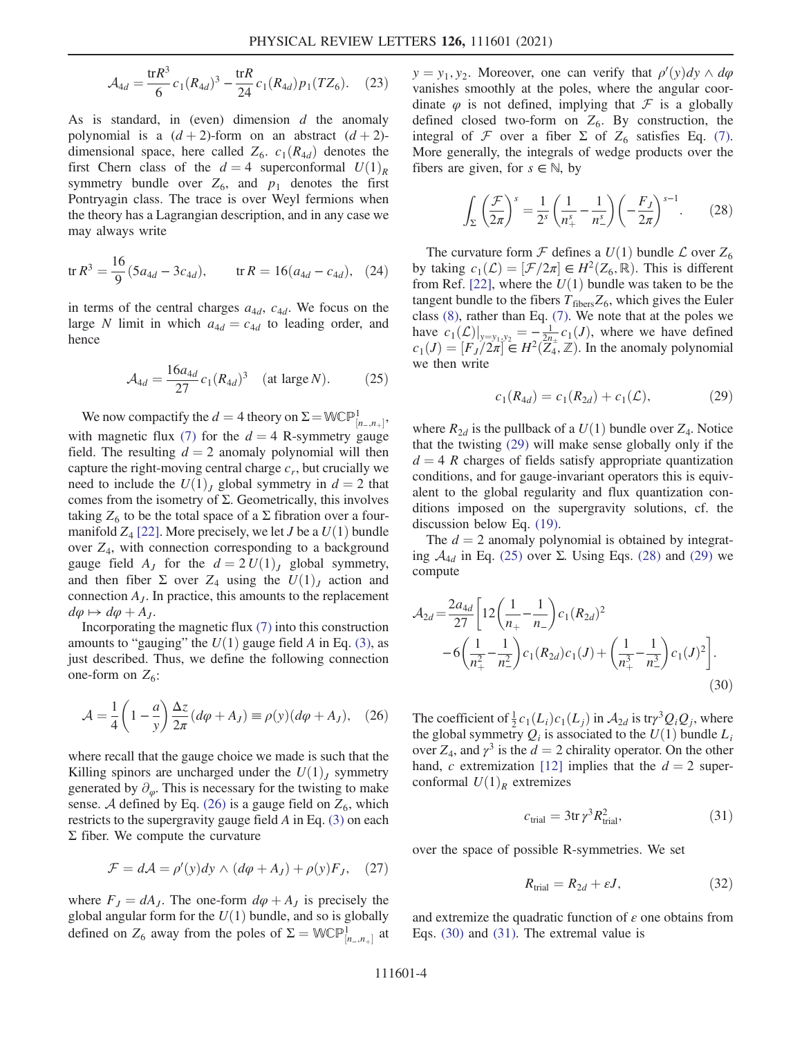$$
\mathcal{A}_{4d} = \frac{\text{tr}R^3}{6}c_1(R_{4d})^3 - \frac{\text{tr}R}{24}c_1(R_{4d})p_1(TZ_6). \quad (23)
$$

As is standard, in (even) dimension  $d$  the anomaly polynomial is a  $(d+2)$ -form on an abstract  $(d+2)$ dimensional space, here called  $Z_6$ .  $c_1(R_{4d})$  denotes the first Chern class of the  $d = 4$  superconformal  $U(1)<sub>R</sub>$ symmetry bundle over  $Z_6$ , and  $p_1$  denotes the first Pontryagin class. The trace is over Weyl fermions when the theory has a Lagrangian description, and in any case we may always write

$$
\text{tr}\,R^3 = \frac{16}{9}(5a_{4d} - 3c_{4d}), \qquad \text{tr}\,R = 16(a_{4d} - c_{4d}), \quad (24)
$$

<span id="page-3-2"></span>in terms of the central charges  $a_{4d}$ ,  $c_{4d}$ . We focus on the large N limit in which  $a_{4d} = c_{4d}$  to leading order, and hence

$$
A_{4d} = \frac{16a_{4d}}{27} c_1 (R_{4d})^3 \quad \text{(at large } N). \tag{25}
$$

We now compactify the  $d = 4$  theory on  $\Sigma = W\mathbb{CP}^1_{[n_-,n_+]}$ ,<br>the means flux (7) for the d all permutations are with magnetic flux [\(7\)](#page-1-5) for the  $d = 4$  R-symmetry gauge field. The resulting  $d = 2$  anomaly polynomial will then capture the right-moving central charge  $c_r$ , but crucially we need to include the  $U(1)<sub>J</sub>$  global symmetry in  $d = 2$  that comes from the isometry of Σ. Geometrically, this involves taking  $Z_6$  to be the total space of a  $\Sigma$  fibration over a fourmanifold  $Z_4$  [\[22\].](#page-5-2) More precisely, we let *J* be a  $U(1)$  bundle over  $Z_4$ , with connection corresponding to a background gauge field  $A_J$  for the  $d = 2 U(1)_J$  global symmetry, and then fiber  $\Sigma$  over  $Z_4$  using the  $U(1)_J$  action and connection  $A_J$ . In practice, this amounts to the replacement  $d\varphi \mapsto d\varphi + A_J.$ 

<span id="page-3-0"></span>Incorporating the magnetic flux [\(7\)](#page-1-5) into this construction amounts to "gauging" the  $U(1)$  gauge field A in Eq. [\(3\)](#page-1-2), as just described. Thus, we define the following connection one-form on  $Z_6$ :

$$
\mathcal{A} = \frac{1}{4} \left( 1 - \frac{a}{y} \right) \frac{\Delta z}{2\pi} (d\varphi + A_J) \equiv \rho(y) (d\varphi + A_J), \quad (26)
$$

where recall that the gauge choice we made is such that the Killing spinors are uncharged under the  $U(1)$ , symmetry generated by  $\partial_{\varphi}$ . This is necessary for the twisting to make sense. A defined by Eq. [\(26\)](#page-3-0) is a gauge field on  $Z_6$ , which restricts to the supergravity gauge field A in Eq. [\(3\)](#page-1-2) on each  $Σ$  fiber. We compute the curvature

$$
\mathcal{F} = d\mathcal{A} = \rho'(y)dy \wedge (d\varphi + A_J) + \rho(y)F_J, \quad (27)
$$

where  $F_J = dA_J$ . The one-form  $d\varphi + A_J$  is precisely the global angular form for the  $U(1)$  bundle, and so is globally defined on  $Z_6$  away from the poles of  $\Sigma = \mathbb{WCP}^1_{[n_-,n_+]}$  at

 $y = y_1, y_2$ . Moreover, one can verify that  $\rho'(y) dy \wedge d\varphi$ <br>vanishes smoothly at the poles, where the appular coorvanishes smoothly at the poles, where the angular coordinate  $\varphi$  is not defined, implying that  $\mathcal F$  is a globally defined closed two-form on  $Z_6$ . By construction, the integral of  $\mathcal F$  over a fiber  $\Sigma$  of  $Z_6$  satisfies Eq. [\(7\)](#page-1-5). More generally, the integrals of wedge products over the fibers are given, for  $s \in \mathbb{N}$ , by

<span id="page-3-3"></span>
$$
\int_{\Sigma} \left(\frac{\mathcal{F}}{2\pi}\right)^s = \frac{1}{2^s} \left(\frac{1}{n_+^s} - \frac{1}{n_-^s}\right) \left(-\frac{F_J}{2\pi}\right)^{s-1}.\tag{28}
$$

The curvature form  $\mathcal F$  defines a  $U(1)$  bundle  $\mathcal L$  over  $Z_6$ by taking  $c_1(\mathcal{L}) = [\mathcal{F}/2\pi] \in H^2(\mathbb{Z}_6, \mathbb{R})$ . This is different from Ref. [22] where the  $U(1)$  bundle was taken to be the from Ref. [\[22\],](#page-5-2) where the  $U(1)$  bundle was taken to be the tangent bundle to the fibers  $T_{\text{fibers}}Z_6$ , which gives the Euler class [\(8\)](#page-1-6), rather than Eq. [\(7\).](#page-1-5) We note that at the poles we have  $c_1(\mathcal{L})|_{y=y_1,y_2} = -\frac{1}{2n\epsilon} c_1(J)$ , where we have defined  $c_1(I) = [F, (2\pi) \in H^2(\mathbb{Z}, \mathbb{Z})]$  In the anomaly polynomial  $c_1(J) = [F_J/2\pi] \in H^2(\overline{Z}_4^*, \mathbb{Z})$ . In the anomaly polynomial we then write we then write

$$
c_1(R_{4d}) = c_1(R_{2d}) + c_1(\mathcal{L}), \tag{29}
$$

<span id="page-3-1"></span>where  $R_{2d}$  is the pullback of a  $U(1)$  bundle over  $Z_4$ . Notice that the twisting [\(29\)](#page-3-1) will make sense globally only if the  $d = 4 R$  charges of fields satisfy appropriate quantization conditions, and for gauge-invariant operators this is equivalent to the global regularity and flux quantization conditions imposed on the supergravity solutions, cf. the discussion below Eq. [\(19\)](#page-2-2).

<span id="page-3-4"></span>The  $d = 2$  anomaly polynomial is obtained by integrating  $A_{4d}$  in Eq. [\(25\)](#page-3-2) over Σ. Using Eqs. [\(28\)](#page-3-3) and [\(29\)](#page-3-1) we compute

$$
\mathcal{A}_{2d} = \frac{2a_{4d}}{27} \left[ 12 \left( \frac{1}{n_+} - \frac{1}{n_-} \right) c_1 (R_{2d})^2 -6 \left( \frac{1}{n_+^2} - \frac{1}{n_-^2} \right) c_1 (R_{2d}) c_1 (J) + \left( \frac{1}{n_+^3} - \frac{1}{n_-^3} \right) c_1 (J)^2 \right].
$$
\n(30)

<span id="page-3-5"></span>The coefficient of  $\frac{1}{2}c_1(L_i)c_1(L_j)$  in  $\mathcal{A}_{2d}$  is try<sup>3</sup> $Q_iQ_j$ , where the global symmetry  $Q_i$  is associated to the  $U(1)$  bundle  $L_i$ over  $Z_4$ , and  $\gamma^3$  is the  $d = 2$  chirality operator. On the other hand, c extremization [\[12\]](#page-4-7) implies that the  $d = 2$  superconformal  $U(1)<sub>R</sub>$  extremizes

$$
c_{\text{trial}} = 3 \text{tr} \,\gamma^3 R_{\text{trial}}^2,\tag{31}
$$

<span id="page-3-7"></span>over the space of possible R-symmetries. We set

$$
R_{\text{trial}} = R_{2d} + \varepsilon J,\tag{32}
$$

<span id="page-3-6"></span>and extremize the quadratic function of  $\varepsilon$  one obtains from Eqs. [\(30\)](#page-3-4) and [\(31\).](#page-3-5) The extremal value is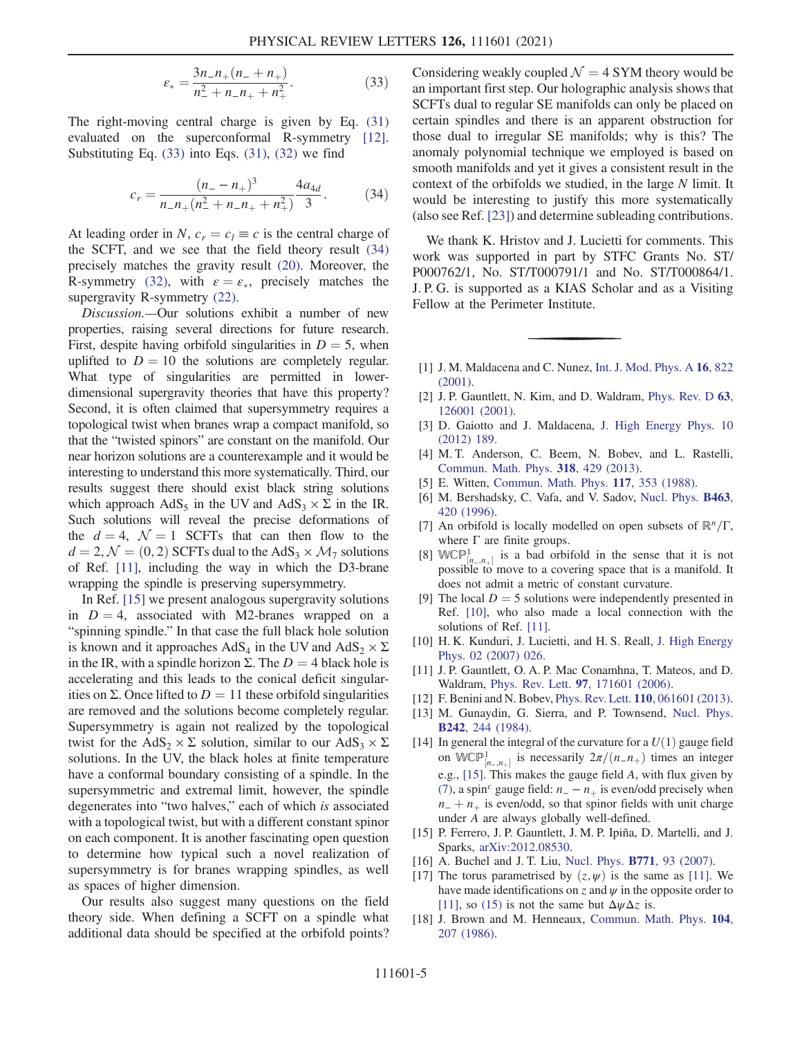$$
\varepsilon_{*} = \frac{3n_{-}n_{+}(n_{-}+n_{+})}{n_{-}^{2}+n_{-}n_{+}+n_{+}^{2}}.
$$
\n(33)

<span id="page-4-14"></span>The right-moving central charge is given by Eq. [\(31\)](#page-3-5) evaluated on the superconformal R-symmetry [\[12\]](#page-4-7). Substituting Eq.  $(33)$  into Eqs.  $(31)$ ,  $(32)$  we find

$$
c_r = \frac{(n_- - n_+)^3}{n_- n_+ (n_-^2 + n_- n_+ + n_+^2)} \frac{4a_{4d}}{3}.
$$
 (34)

At leading order in N,  $c_r = c_l \equiv c$  is the central charge of the SCFT, and we see that the field theory result [\(34\)](#page-4-14) precisely matches the gravity result [\(20\)](#page-2-5). Moreover, the R-symmetry [\(32\),](#page-3-7) with  $\varepsilon = \varepsilon_*$ , precisely matches the supergravity R-symmetry [\(22\)](#page-2-4).

Discussion.—Our solutions exhibit a number of new properties, raising several directions for future research. First, despite having orbifold singularities in  $D = 5$ , when uplifted to  $D = 10$  the solutions are completely regular. What type of singularities are permitted in lowerdimensional supergravity theories that have this property? Second, it is often claimed that supersymmetry requires a topological twist when branes wrap a compact manifold, so that the "twisted spinors" are constant on the manifold. Our near horizon solutions are a counterexample and it would be interesting to understand this more systematically. Third, our results suggest there should exist black string solutions which approach  $AdS_5$  in the UV and  $AdS_3 \times \Sigma$  in the IR. Such solutions will reveal the precise deformations of the  $d = 4$ ,  $\mathcal{N} = 1$  SCFTs that can then flow to the  $d = 2, \mathcal{N} = (0, 2)$  SCFTs dual to the AdS<sub>3</sub>  $\times$  M<sub>7</sub> solutions of Ref. [\[11\]](#page-4-6), including the way in which the D3-brane wrapping the spindle is preserving supersymmetry.

In Ref. [\[15\]](#page-4-10) we present analogous supergravity solutions in  $D = 4$ , associated with M2-branes wrapped on a "spinning spindle." In that case the full black hole solution is known and it approaches  $AdS_4$  in the UV and  $AdS_2 \times \Sigma$ in the IR, with a spindle horizon  $\Sigma$ . The  $D = 4$  black hole is accelerating and this leads to the conical deficit singularities on Σ. Once lifted to  $D = 11$  these orbifold singularities are removed and the solutions become completely regular. Supersymmetry is again not realized by the topological twist for the AdS<sub>2</sub>  $\times$  Σ solution, similar to our AdS<sub>3</sub>  $\times$  Σ solutions. In the UV, the black holes at finite temperature have a conformal boundary consisting of a spindle. In the supersymmetric and extremal limit, however, the spindle degenerates into "two halves," each of which is associated with a topological twist, but with a different constant spinor on each component. It is another fascinating open question to determine how typical such a novel realization of supersymmetry is for branes wrapping spindles, as well as spaces of higher dimension.

Our results also suggest many questions on the field theory side. When defining a SCFT on a spindle what additional data should be specified at the orbifold points? Considering weakly coupled  $\mathcal{N} = 4$  SYM theory would be an important first step. Our holographic analysis shows that SCFTs dual to regular SE manifolds can only be placed on certain spindles and there is an apparent obstruction for those dual to irregular SE manifolds; why is this? The anomaly polynomial technique we employed is based on smooth manifolds and yet it gives a consistent result in the context of the orbifolds we studied, in the large N limit. It would be interesting to justify this more systematically (also see Ref. [\[23\]](#page-5-3)) and determine subleading contributions.

We thank K. Hristov and J. Lucietti for comments. This work was supported in part by STFC Grants No. ST/ P000762/1, No. ST/T000791/1 and No. ST/T000864/1. J. P. G. is supported as a KIAS Scholar and as a Visiting Fellow at the Perimeter Institute.

- <span id="page-4-1"></span><span id="page-4-0"></span>[1] J. M. Maldacena and C. Nunez, [Int. J. Mod. Phys. A](https://doi.org/10.1142/S0217751X01003937) 16, 822 [\(2001\).](https://doi.org/10.1142/S0217751X01003937)
- [2] J. P. Gauntlett, N. Kim, and D. Waldram, [Phys. Rev. D](https://doi.org/10.1103/PhysRevD.63.126001) 63, [126001 \(2001\).](https://doi.org/10.1103/PhysRevD.63.126001)
- [3] D. Gaiotto and J. Maldacena, [J. High Energy Phys. 10](https://doi.org/10.1007/JHEP10(2012)189) [\(2012\) 189.](https://doi.org/10.1007/JHEP10(2012)189)
- <span id="page-4-2"></span>[4] M. T. Anderson, C. Beem, N. Bobev, and L. Rastelli, [Commun. Math. Phys.](https://doi.org/10.1007/s00220-013-1675-4) 318, 429 (2013).
- [5] E. Witten, [Commun. Math. Phys.](https://doi.org/10.1007/BF01223371) 117, 353 (1988).
- <span id="page-4-3"></span>[6] M. Bershadsky, C. Vafa, and V. Sadov, [Nucl. Phys.](https://doi.org/10.1016/0550-3213(96)00026-0) **B463**, [420 \(1996\)](https://doi.org/10.1016/0550-3213(96)00026-0).
- <span id="page-4-4"></span>[7] An orbifold is locally modelled on open subsets of  $\mathbb{R}^n/\Gamma$ , where  $\Gamma$  are finite groups.
- [8] WCP<sup>1</sup><sub>[n, n, 1</sub> is a bad orbifold in the sense that it is not  $\sum_{n=1}^{\infty}$   $\binom{n}{n}$  is a bad of order in the sense that it is not possible to move to a covering space that is a manifold. It does not admit a metric of constant curvature.
- <span id="page-4-5"></span>[9] The local  $D = 5$  solutions were independently presented in Ref. [\[10\],](#page-4-15) who also made a local connection with the solutions of Ref. [\[11\]](#page-4-6).
- <span id="page-4-15"></span><span id="page-4-6"></span>[10] H. K. Kunduri, J. Lucietti, and H. S. Reall, [J. High Energy](https://doi.org/10.1088/1126-6708/2007/02/026) [Phys. 02 \(2007\) 026.](https://doi.org/10.1088/1126-6708/2007/02/026)
- <span id="page-4-7"></span>[11] J. P. Gauntlett, O. A. P. Mac Conamhna, T. Mateos, and D. Waldram, Phys. Rev. Lett. 97[, 171601 \(2006\)](https://doi.org/10.1103/PhysRevLett.97.171601).
- <span id="page-4-8"></span>[12] F. Benini and N. Bobev, Phys. Rev. Lett. 110[, 061601 \(2013\).](https://doi.org/10.1103/PhysRevLett.110.061601)
- <span id="page-4-9"></span>[13] M. Gunaydin, G. Sierra, and P. Townsend, [Nucl. Phys.](https://doi.org/10.1016/0550-3213(84)90142-1) B242[, 244 \(1984\).](https://doi.org/10.1016/0550-3213(84)90142-1)
- [14] In general the integral of the curvature for a  $U(1)$  gauge field on WCP<sup>1</sup><sub>[*n*,*n*<sub>+</sub>]</sub> is necessarily  $2\pi/(n-n_+)$  times an integer e.g., [\[15\]](#page-4-10). This makes the gauge field A, with flux given by [\(7\),](#page-1-5) a spin<sup>c</sup> gauge field:  $n_ - - n_+$  is even/odd precisely when  $n_{-} + n_{+}$  is even/odd, so that spinor fields with unit charge under A are always globally well-defined.
- <span id="page-4-11"></span><span id="page-4-10"></span>[15] P. Ferrero, J. P. Gauntlett, J. M. P. Ipiña, D. Martelli, and J. Sparks, [arXiv:2012.08530](https://arXiv.org/abs/2012.08530).
- <span id="page-4-12"></span>[16] A. Buchel and J. T. Liu, [Nucl. Phys.](https://doi.org/10.1016/j.nuclphysb.2007.03.001) **B771**, 93 (2007).
- [17] The torus parametrised by  $(z, \psi)$  is the same as [\[11\].](#page-4-6) We have made identifications on z and  $\psi$  in the opposite order to [\[11\]](#page-4-6), so [\(15\)](#page-2-6) is not the same but  $\Delta \psi \Delta z$  is.
- <span id="page-4-13"></span>[18] J. Brown and M. Henneaux, [Commun. Math. Phys.](https://doi.org/10.1007/BF01211590) 104, [207 \(1986\)](https://doi.org/10.1007/BF01211590).